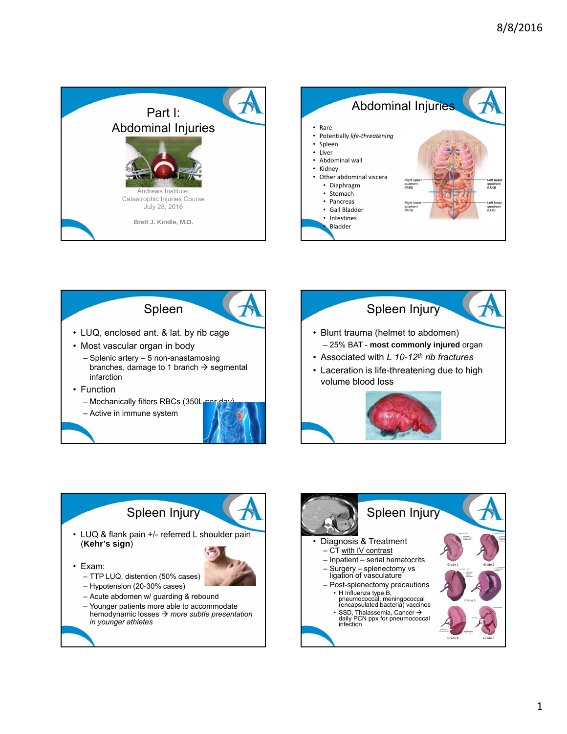









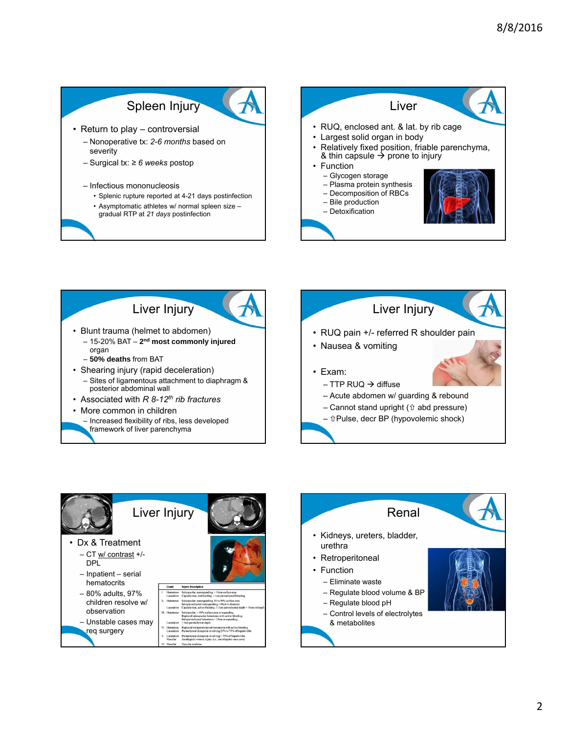### Spleen Injury

• Return to play – controversial

- Nonoperative tx: *2-6 months* based on severity
- Surgical tx: *≥ 6 weeks* postop
- Infectious mononucleosis
	- Splenic rupture reported at 4-21 days postinfection
	- Asymptomatic athletes w/ normal spleen size –
	- gradual RTP at *21 days* postinfection







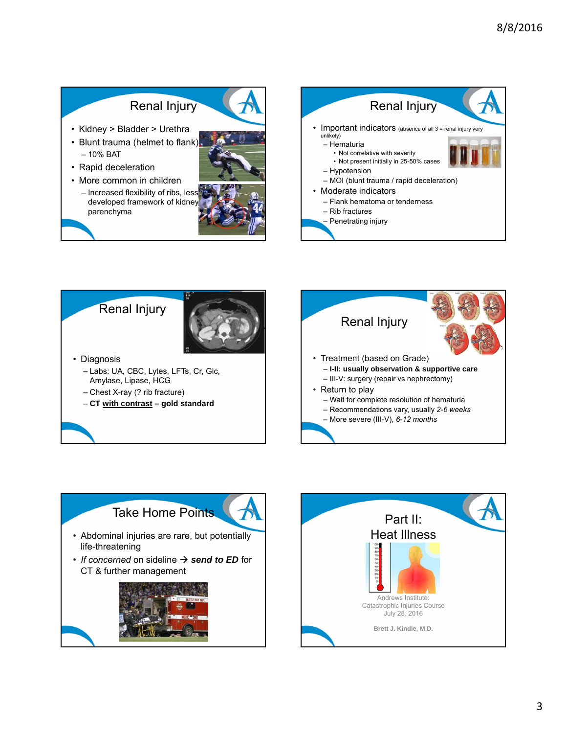# Renal Injury

- Kidney > Bladder > Urethra
- Blunt trauma (helmet to flank) – 10% BAT
- Rapid deceleration
- More common in children
	- Increased flexibility of ribs, less developed framework of kidney parenchyma











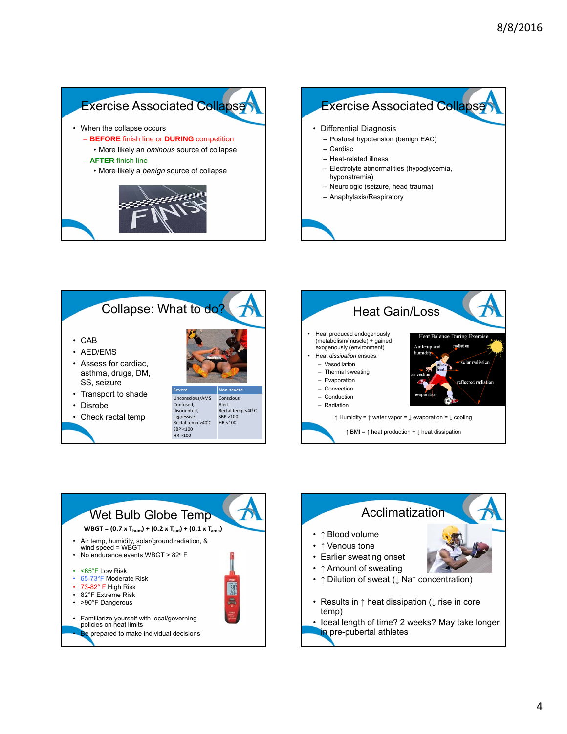#### **Exercise Associated Collapse** • When the collapse occurs – **BEFORE** finish line or **DURING** competition • More likely an *ominous* source of collapse – **AFTER** finish line • More likely a *benign* source of collapse • Differential Diagnosis – Postural hypotension (benign EAC) – Cardiac – Heat-related illness – Electrolyte abnormalities (hypoglycemia, hyponatremia) – Neurologic (seizure, head trauma) – Anaphylaxis/Respiratory **Exercise Associated Collapse**







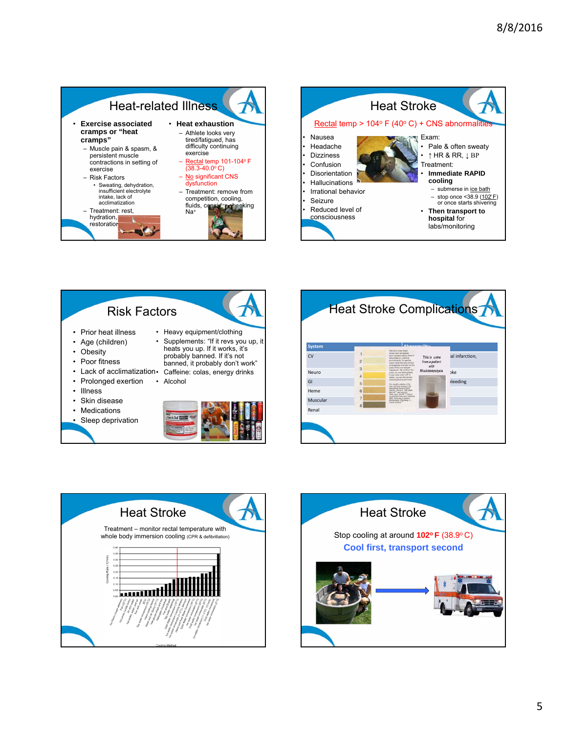